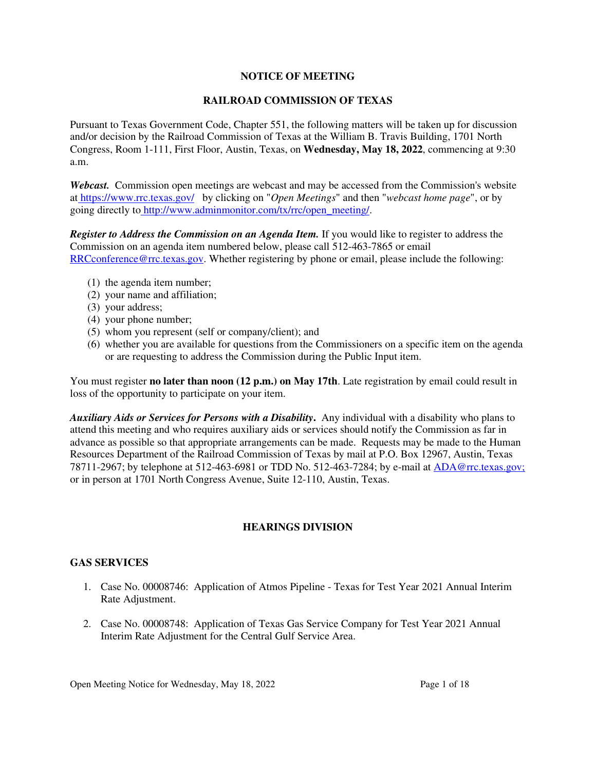## **NOTICE OF MEETING**

## **RAILROAD COMMISSION OF TEXAS**

Pursuant to Texas Government Code, Chapter 551, the following matters will be taken up for discussion and/or decision by the Railroad Commission of Texas at the William B. Travis Building, 1701 North Congress, Room 1-111, First Floor, Austin, Texas, on **Wednesday, May 18, 2022**, commencing at 9:30 a.m.

*Webcast.* Commission open meetings are webcast and may be accessed from the Commission's website at https://www.rrc.texas.gov/ by clicking on "*Open Meetings*" and then "*webcast home page*", or by going directly to http://www.adminmonitor.com/tx/rrc/open\_meeting/.

*Register to Address the Commission on an Agenda Item.* If you would like to register to address the Commission on an agenda item numbered below, please call 512-463-7865 or email RRCconference@rrc.texas.gov. Whether registering by phone or email, please include the following:

- (1) the agenda item number;
- (2) your name and affiliation;
- (3) your address;
- (4) your phone number;
- (5) whom you represent (self or company/client); and
- (6) whether you are available for questions from the Commissioners on a specific item on the agenda or are requesting to address the Commission during the Public Input item.

You must register **no later than noon (12 p.m.) on May 17th**. Late registration by email could result in loss of the opportunity to participate on your item.

*Auxiliary Aids or Services for Persons with a Disability***.** Any individual with a disability who plans to attend this meeting and who requires auxiliary aids or services should notify the Commission as far in advance as possible so that appropriate arrangements can be made. Requests may be made to the Human Resources Department of the Railroad Commission of Texas by mail at P.O. Box 12967, Austin, Texas 78711-2967; by telephone at 512-463-6981 or TDD No. 512-463-7284; by e-mail at ADA@rrc.texas.gov; or in person at 1701 North Congress Avenue, Suite 12-110, Austin, Texas.

# **HEARINGS DIVISION**

### **GAS SERVICES**

- 1. Case No. 00008746: Application of Atmos Pipeline Texas for Test Year 2021 Annual Interim Rate Adjustment.
- 2. Case No. 00008748: Application of Texas Gas Service Company for Test Year 2021 Annual Interim Rate Adjustment for the Central Gulf Service Area.

Open Meeting Notice for Wednesday, May 18, 2022 Page 1 of 18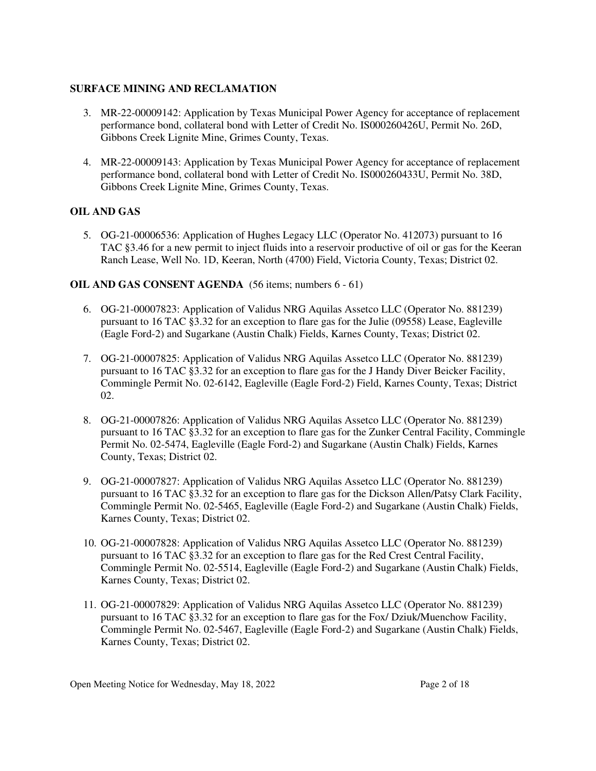## **SURFACE MINING AND RECLAMATION**

- 3. MR-22-00009142: Application by Texas Municipal Power Agency for acceptance of replacement performance bond, collateral bond with Letter of Credit No. IS000260426U, Permit No. 26D, Gibbons Creek Lignite Mine, Grimes County, Texas.
- 4. MR-22-00009143: Application by Texas Municipal Power Agency for acceptance of replacement performance bond, collateral bond with Letter of Credit No. IS000260433U, Permit No. 38D, Gibbons Creek Lignite Mine, Grimes County, Texas.

# **OIL AND GAS**

5. OG-21-00006536: Application of Hughes Legacy LLC (Operator No. 412073) pursuant to 16 TAC §3.46 for a new permit to inject fluids into a reservoir productive of oil or gas for the Keeran Ranch Lease, Well No. 1D, Keeran, North (4700) Field, Victoria County, Texas; District 02.

## **OIL AND GAS CONSENT AGENDA** (56 items; numbers 6 - 61)

- 6. OG-21-00007823: Application of Validus NRG Aquilas Assetco LLC (Operator No. 881239) pursuant to 16 TAC §3.32 for an exception to flare gas for the Julie (09558) Lease, Eagleville (Eagle Ford-2) and Sugarkane (Austin Chalk) Fields, Karnes County, Texas; District 02.
- 7. OG-21-00007825: Application of Validus NRG Aquilas Assetco LLC (Operator No. 881239) pursuant to 16 TAC §3.32 for an exception to flare gas for the J Handy Diver Beicker Facility, Commingle Permit No. 02-6142, Eagleville (Eagle Ford-2) Field, Karnes County, Texas; District 02.
- 8. OG-21-00007826: Application of Validus NRG Aquilas Assetco LLC (Operator No. 881239) pursuant to 16 TAC §3.32 for an exception to flare gas for the Zunker Central Facility, Commingle Permit No. 02-5474, Eagleville (Eagle Ford-2) and Sugarkane (Austin Chalk) Fields, Karnes County, Texas; District 02.
- 9. OG-21-00007827: Application of Validus NRG Aquilas Assetco LLC (Operator No. 881239) pursuant to 16 TAC §3.32 for an exception to flare gas for the Dickson Allen/Patsy Clark Facility, Commingle Permit No. 02-5465, Eagleville (Eagle Ford-2) and Sugarkane (Austin Chalk) Fields, Karnes County, Texas; District 02.
- 10. OG-21-00007828: Application of Validus NRG Aquilas Assetco LLC (Operator No. 881239) pursuant to 16 TAC §3.32 for an exception to flare gas for the Red Crest Central Facility, Commingle Permit No. 02-5514, Eagleville (Eagle Ford-2) and Sugarkane (Austin Chalk) Fields, Karnes County, Texas; District 02.
- 11. OG-21-00007829: Application of Validus NRG Aquilas Assetco LLC (Operator No. 881239) pursuant to 16 TAC §3.32 for an exception to flare gas for the Fox/ Dziuk/Muenchow Facility, Commingle Permit No. 02-5467, Eagleville (Eagle Ford-2) and Sugarkane (Austin Chalk) Fields, Karnes County, Texas; District 02.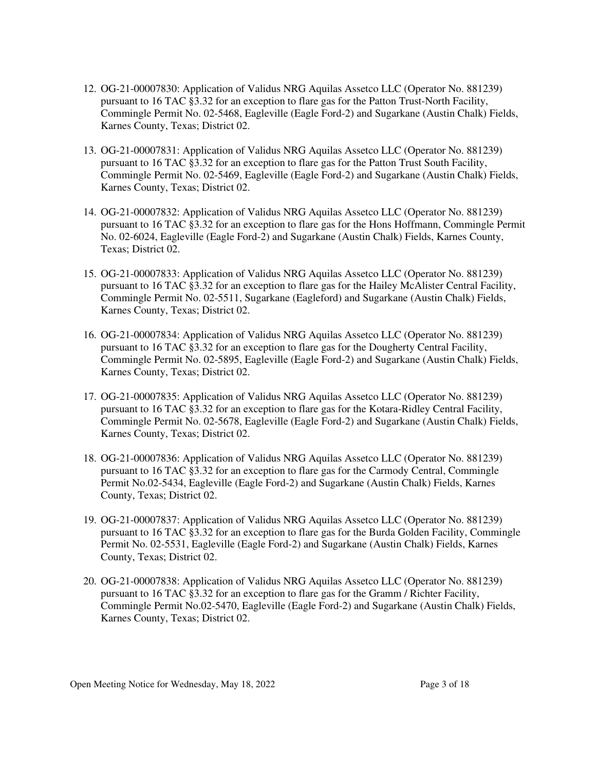- 12. OG-21-00007830: Application of Validus NRG Aquilas Assetco LLC (Operator No. 881239) pursuant to 16 TAC §3.32 for an exception to flare gas for the Patton Trust-North Facility, Commingle Permit No. 02-5468, Eagleville (Eagle Ford-2) and Sugarkane (Austin Chalk) Fields, Karnes County, Texas; District 02.
- 13. OG-21-00007831: Application of Validus NRG Aquilas Assetco LLC (Operator No. 881239) pursuant to 16 TAC §3.32 for an exception to flare gas for the Patton Trust South Facility, Commingle Permit No. 02-5469, Eagleville (Eagle Ford-2) and Sugarkane (Austin Chalk) Fields, Karnes County, Texas; District 02.
- 14. OG-21-00007832: Application of Validus NRG Aquilas Assetco LLC (Operator No. 881239) pursuant to 16 TAC §3.32 for an exception to flare gas for the Hons Hoffmann, Commingle Permit No. 02-6024, Eagleville (Eagle Ford-2) and Sugarkane (Austin Chalk) Fields, Karnes County, Texas; District 02.
- 15. OG-21-00007833: Application of Validus NRG Aquilas Assetco LLC (Operator No. 881239) pursuant to 16 TAC §3.32 for an exception to flare gas for the Hailey McAlister Central Facility, Commingle Permit No. 02-5511, Sugarkane (Eagleford) and Sugarkane (Austin Chalk) Fields, Karnes County, Texas; District 02.
- 16. OG-21-00007834: Application of Validus NRG Aquilas Assetco LLC (Operator No. 881239) pursuant to 16 TAC §3.32 for an exception to flare gas for the Dougherty Central Facility, Commingle Permit No. 02-5895, Eagleville (Eagle Ford-2) and Sugarkane (Austin Chalk) Fields, Karnes County, Texas; District 02.
- 17. OG-21-00007835: Application of Validus NRG Aquilas Assetco LLC (Operator No. 881239) pursuant to 16 TAC §3.32 for an exception to flare gas for the Kotara-Ridley Central Facility, Commingle Permit No. 02-5678, Eagleville (Eagle Ford-2) and Sugarkane (Austin Chalk) Fields, Karnes County, Texas; District 02.
- 18. OG-21-00007836: Application of Validus NRG Aquilas Assetco LLC (Operator No. 881239) pursuant to 16 TAC §3.32 for an exception to flare gas for the Carmody Central, Commingle Permit No.02-5434, Eagleville (Eagle Ford-2) and Sugarkane (Austin Chalk) Fields, Karnes County, Texas; District 02.
- 19. OG-21-00007837: Application of Validus NRG Aquilas Assetco LLC (Operator No. 881239) pursuant to 16 TAC §3.32 for an exception to flare gas for the Burda Golden Facility, Commingle Permit No. 02-5531, Eagleville (Eagle Ford-2) and Sugarkane (Austin Chalk) Fields, Karnes County, Texas; District 02.
- 20. OG-21-00007838: Application of Validus NRG Aquilas Assetco LLC (Operator No. 881239) pursuant to 16 TAC §3.32 for an exception to flare gas for the Gramm / Richter Facility, Commingle Permit No.02-5470, Eagleville (Eagle Ford-2) and Sugarkane (Austin Chalk) Fields, Karnes County, Texas; District 02.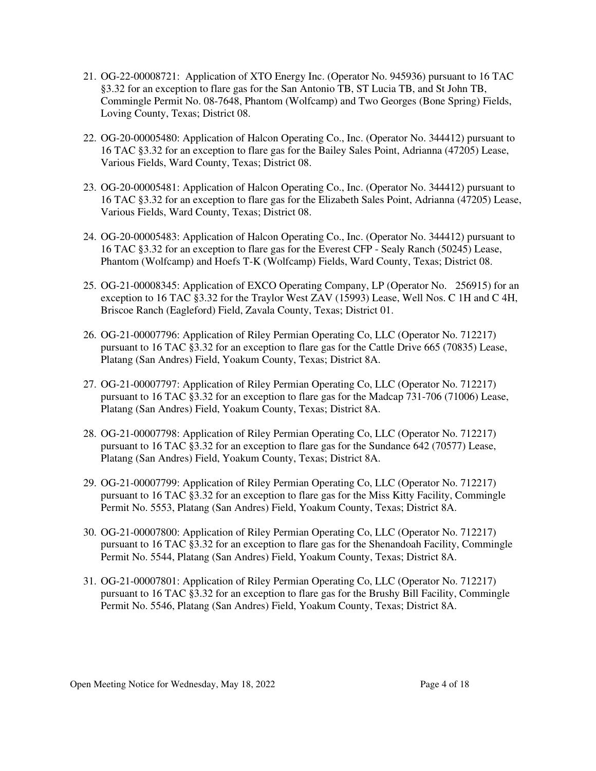- 21. OG-22-00008721: Application of XTO Energy Inc. (Operator No. 945936) pursuant to 16 TAC §3.32 for an exception to flare gas for the San Antonio TB, ST Lucia TB, and St John TB, Commingle Permit No. 08-7648, Phantom (Wolfcamp) and Two Georges (Bone Spring) Fields, Loving County, Texas; District 08.
- 22. OG-20-00005480: Application of Halcon Operating Co., Inc. (Operator No. 344412) pursuant to 16 TAC §3.32 for an exception to flare gas for the Bailey Sales Point, Adrianna (47205) Lease, Various Fields, Ward County, Texas; District 08.
- 23. OG-20-00005481: Application of Halcon Operating Co., Inc. (Operator No. 344412) pursuant to 16 TAC §3.32 for an exception to flare gas for the Elizabeth Sales Point, Adrianna (47205) Lease, Various Fields, Ward County, Texas; District 08.
- 24. OG-20-00005483: Application of Halcon Operating Co., Inc. (Operator No. 344412) pursuant to 16 TAC §3.32 for an exception to flare gas for the Everest CFP - Sealy Ranch (50245) Lease, Phantom (Wolfcamp) and Hoefs T-K (Wolfcamp) Fields, Ward County, Texas; District 08.
- 25. OG-21-00008345: Application of EXCO Operating Company, LP (Operator No. 256915) for an exception to 16 TAC §3.32 for the Traylor West ZAV (15993) Lease, Well Nos. C 1H and C 4H, Briscoe Ranch (Eagleford) Field, Zavala County, Texas; District 01.
- 26. OG-21-00007796: Application of Riley Permian Operating Co, LLC (Operator No. 712217) pursuant to 16 TAC §3.32 for an exception to flare gas for the Cattle Drive 665 (70835) Lease, Platang (San Andres) Field, Yoakum County, Texas; District 8A.
- 27. OG-21-00007797: Application of Riley Permian Operating Co, LLC (Operator No. 712217) pursuant to 16 TAC §3.32 for an exception to flare gas for the Madcap 731-706 (71006) Lease, Platang (San Andres) Field, Yoakum County, Texas; District 8A.
- 28. OG-21-00007798: Application of Riley Permian Operating Co, LLC (Operator No. 712217) pursuant to 16 TAC §3.32 for an exception to flare gas for the Sundance 642 (70577) Lease, Platang (San Andres) Field, Yoakum County, Texas; District 8A.
- 29. OG-21-00007799: Application of Riley Permian Operating Co, LLC (Operator No. 712217) pursuant to 16 TAC §3.32 for an exception to flare gas for the Miss Kitty Facility, Commingle Permit No. 5553, Platang (San Andres) Field, Yoakum County, Texas; District 8A.
- 30. OG-21-00007800: Application of Riley Permian Operating Co, LLC (Operator No. 712217) pursuant to 16 TAC §3.32 for an exception to flare gas for the Shenandoah Facility, Commingle Permit No. 5544, Platang (San Andres) Field, Yoakum County, Texas; District 8A.
- 31. OG-21-00007801: Application of Riley Permian Operating Co, LLC (Operator No. 712217) pursuant to 16 TAC §3.32 for an exception to flare gas for the Brushy Bill Facility, Commingle Permit No. 5546, Platang (San Andres) Field, Yoakum County, Texas; District 8A.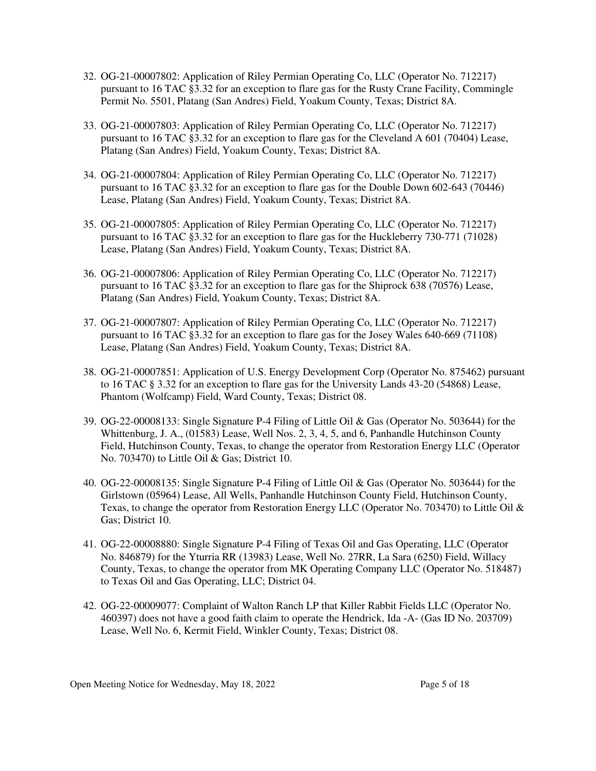- 32. OG-21-00007802: Application of Riley Permian Operating Co, LLC (Operator No. 712217) pursuant to 16 TAC §3.32 for an exception to flare gas for the Rusty Crane Facility, Commingle Permit No. 5501, Platang (San Andres) Field, Yoakum County, Texas; District 8A.
- 33. OG-21-00007803: Application of Riley Permian Operating Co, LLC (Operator No. 712217) pursuant to 16 TAC §3.32 for an exception to flare gas for the Cleveland A 601 (70404) Lease, Platang (San Andres) Field, Yoakum County, Texas; District 8A.
- 34. OG-21-00007804: Application of Riley Permian Operating Co, LLC (Operator No. 712217) pursuant to 16 TAC §3.32 for an exception to flare gas for the Double Down 602-643 (70446) Lease, Platang (San Andres) Field, Yoakum County, Texas; District 8A.
- 35. OG-21-00007805: Application of Riley Permian Operating Co, LLC (Operator No. 712217) pursuant to 16 TAC §3.32 for an exception to flare gas for the Huckleberry 730-771 (71028) Lease, Platang (San Andres) Field, Yoakum County, Texas; District 8A.
- 36. OG-21-00007806: Application of Riley Permian Operating Co, LLC (Operator No. 712217) pursuant to 16 TAC §3.32 for an exception to flare gas for the Shiprock 638 (70576) Lease, Platang (San Andres) Field, Yoakum County, Texas; District 8A.
- 37. OG-21-00007807: Application of Riley Permian Operating Co, LLC (Operator No. 712217) pursuant to 16 TAC §3.32 for an exception to flare gas for the Josey Wales 640-669 (71108) Lease, Platang (San Andres) Field, Yoakum County, Texas; District 8A.
- 38. OG-21-00007851: Application of U.S. Energy Development Corp (Operator No. 875462) pursuant to 16 TAC § 3.32 for an exception to flare gas for the University Lands 43-20 (54868) Lease, Phantom (Wolfcamp) Field, Ward County, Texas; District 08.
- 39. OG-22-00008133: Single Signature P-4 Filing of Little Oil & Gas (Operator No. 503644) for the Whittenburg, J. A., (01583) Lease, Well Nos. 2, 3, 4, 5, and 6, Panhandle Hutchinson County Field, Hutchinson County, Texas, to change the operator from Restoration Energy LLC (Operator No. 703470) to Little Oil & Gas; District 10.
- 40. OG-22-00008135: Single Signature P-4 Filing of Little Oil & Gas (Operator No. 503644) for the Girlstown (05964) Lease, All Wells, Panhandle Hutchinson County Field, Hutchinson County, Texas, to change the operator from Restoration Energy LLC (Operator No. 703470) to Little Oil & Gas; District 10.
- 41. OG-22-00008880: Single Signature P-4 Filing of Texas Oil and Gas Operating, LLC (Operator No. 846879) for the Yturria RR (13983) Lease, Well No. 27RR, La Sara (6250) Field, Willacy County, Texas, to change the operator from MK Operating Company LLC (Operator No. 518487) to Texas Oil and Gas Operating, LLC; District 04.
- 42. OG-22-00009077: Complaint of Walton Ranch LP that Killer Rabbit Fields LLC (Operator No. 460397) does not have a good faith claim to operate the Hendrick, Ida -A- (Gas ID No. 203709) Lease, Well No. 6, Kermit Field, Winkler County, Texas; District 08.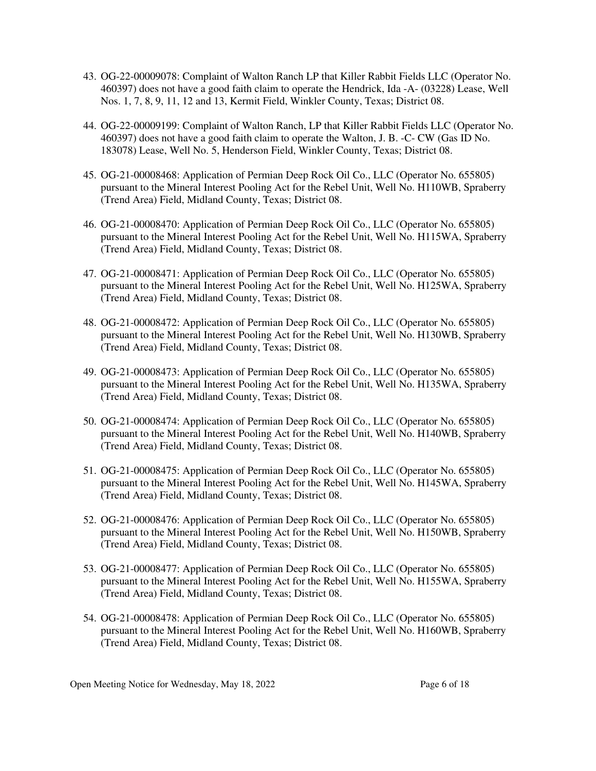- 43. OG-22-00009078: Complaint of Walton Ranch LP that Killer Rabbit Fields LLC (Operator No. 460397) does not have a good faith claim to operate the Hendrick, Ida -A- (03228) Lease, Well Nos. 1, 7, 8, 9, 11, 12 and 13, Kermit Field, Winkler County, Texas; District 08.
- 44. OG-22-00009199: Complaint of Walton Ranch, LP that Killer Rabbit Fields LLC (Operator No. 460397) does not have a good faith claim to operate the Walton, J. B. -C- CW (Gas ID No. 183078) Lease, Well No. 5, Henderson Field, Winkler County, Texas; District 08.
- 45. OG-21-00008468: Application of Permian Deep Rock Oil Co., LLC (Operator No. 655805) pursuant to the Mineral Interest Pooling Act for the Rebel Unit, Well No. H110WB, Spraberry (Trend Area) Field, Midland County, Texas; District 08.
- 46. OG-21-00008470: Application of Permian Deep Rock Oil Co., LLC (Operator No. 655805) pursuant to the Mineral Interest Pooling Act for the Rebel Unit, Well No. H115WA, Spraberry (Trend Area) Field, Midland County, Texas; District 08.
- 47. OG-21-00008471: Application of Permian Deep Rock Oil Co., LLC (Operator No. 655805) pursuant to the Mineral Interest Pooling Act for the Rebel Unit, Well No. H125WA, Spraberry (Trend Area) Field, Midland County, Texas; District 08.
- 48. OG-21-00008472: Application of Permian Deep Rock Oil Co., LLC (Operator No. 655805) pursuant to the Mineral Interest Pooling Act for the Rebel Unit, Well No. H130WB, Spraberry (Trend Area) Field, Midland County, Texas; District 08.
- 49. OG-21-00008473: Application of Permian Deep Rock Oil Co., LLC (Operator No. 655805) pursuant to the Mineral Interest Pooling Act for the Rebel Unit, Well No. H135WA, Spraberry (Trend Area) Field, Midland County, Texas; District 08.
- 50. OG-21-00008474: Application of Permian Deep Rock Oil Co., LLC (Operator No. 655805) pursuant to the Mineral Interest Pooling Act for the Rebel Unit, Well No. H140WB, Spraberry (Trend Area) Field, Midland County, Texas; District 08.
- 51. OG-21-00008475: Application of Permian Deep Rock Oil Co., LLC (Operator No. 655805) pursuant to the Mineral Interest Pooling Act for the Rebel Unit, Well No. H145WA, Spraberry (Trend Area) Field, Midland County, Texas; District 08.
- 52. OG-21-00008476: Application of Permian Deep Rock Oil Co., LLC (Operator No. 655805) pursuant to the Mineral Interest Pooling Act for the Rebel Unit, Well No. H150WB, Spraberry (Trend Area) Field, Midland County, Texas; District 08.
- 53. OG-21-00008477: Application of Permian Deep Rock Oil Co., LLC (Operator No. 655805) pursuant to the Mineral Interest Pooling Act for the Rebel Unit, Well No. H155WA, Spraberry (Trend Area) Field, Midland County, Texas; District 08.
- 54. OG-21-00008478: Application of Permian Deep Rock Oil Co., LLC (Operator No. 655805) pursuant to the Mineral Interest Pooling Act for the Rebel Unit, Well No. H160WB, Spraberry (Trend Area) Field, Midland County, Texas; District 08.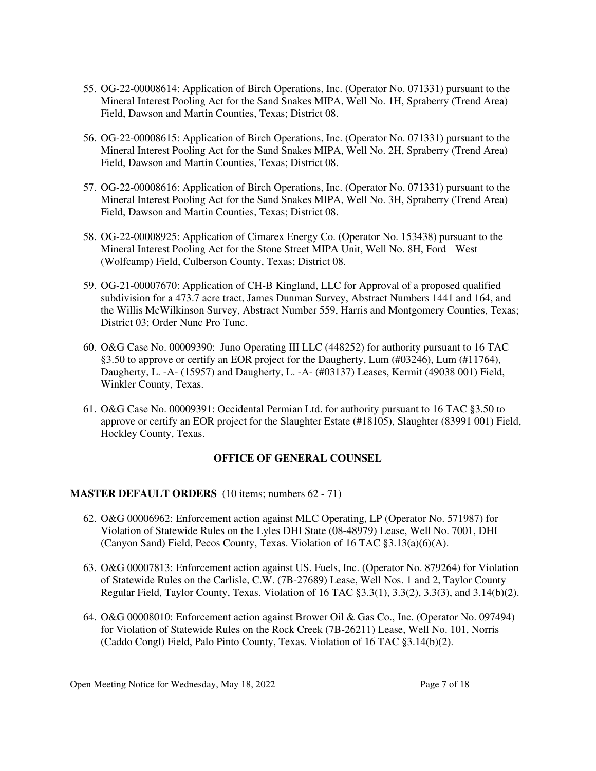- 55. OG-22-00008614: Application of Birch Operations, Inc. (Operator No. 071331) pursuant to the Mineral Interest Pooling Act for the Sand Snakes MIPA, Well No. 1H, Spraberry (Trend Area) Field, Dawson and Martin Counties, Texas; District 08.
- 56. OG-22-00008615: Application of Birch Operations, Inc. (Operator No. 071331) pursuant to the Mineral Interest Pooling Act for the Sand Snakes MIPA, Well No. 2H, Spraberry (Trend Area) Field, Dawson and Martin Counties, Texas; District 08.
- 57. OG-22-00008616: Application of Birch Operations, Inc. (Operator No. 071331) pursuant to the Mineral Interest Pooling Act for the Sand Snakes MIPA, Well No. 3H, Spraberry (Trend Area) Field, Dawson and Martin Counties, Texas; District 08.
- 58. OG-22-00008925: Application of Cimarex Energy Co. (Operator No. 153438) pursuant to the Mineral Interest Pooling Act for the Stone Street MIPA Unit, Well No. 8H, Ford West (Wolfcamp) Field, Culberson County, Texas; District 08.
- 59. OG-21-00007670: Application of CH-B Kingland, LLC for Approval of a proposed qualified subdivision for a 473.7 acre tract, James Dunman Survey, Abstract Numbers 1441 and 164, and the Willis McWilkinson Survey, Abstract Number 559, Harris and Montgomery Counties, Texas; District 03; Order Nunc Pro Tunc.
- 60. O&G Case No. 00009390: Juno Operating III LLC (448252) for authority pursuant to 16 TAC §3.50 to approve or certify an EOR project for the Daugherty, Lum (#03246), Lum (#11764), Daugherty, L. -A- (15957) and Daugherty, L. -A- (#03137) Leases, Kermit (49038 001) Field, Winkler County, Texas.
- 61. O&G Case No. 00009391: Occidental Permian Ltd. for authority pursuant to 16 TAC §3.50 to approve or certify an EOR project for the Slaughter Estate (#18105), Slaughter (83991 001) Field, Hockley County, Texas.

### **OFFICE OF GENERAL COUNSEL**

### **MASTER DEFAULT ORDERS** (10 items; numbers 62 - 71)

- 62. O&G 00006962: Enforcement action against MLC Operating, LP (Operator No. 571987) for Violation of Statewide Rules on the Lyles DHI State (08-48979) Lease, Well No. 7001, DHI (Canyon Sand) Field, Pecos County, Texas. Violation of 16 TAC §3.13(a)(6)(A).
- 63. O&G 00007813: Enforcement action against US. Fuels, Inc. (Operator No. 879264) for Violation of Statewide Rules on the Carlisle, C.W. (7B-27689) Lease, Well Nos. 1 and 2, Taylor County Regular Field, Taylor County, Texas. Violation of 16 TAC §3.3(1), 3.3(2), 3.3(3), and 3.14(b)(2).
- 64. O&G 00008010: Enforcement action against Brower Oil & Gas Co., Inc. (Operator No. 097494) for Violation of Statewide Rules on the Rock Creek (7B-26211) Lease, Well No. 101, Norris (Caddo Congl) Field, Palo Pinto County, Texas. Violation of 16 TAC §3.14(b)(2).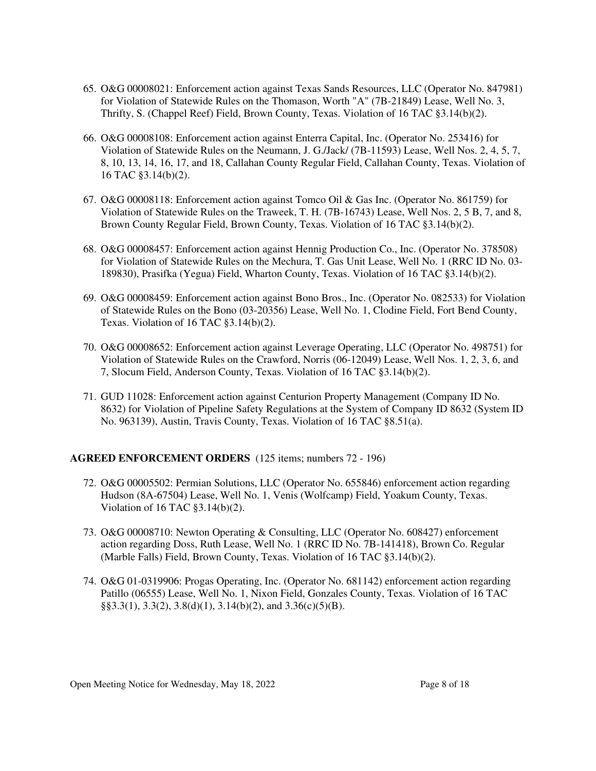- 65. O&G 00008021: Enforcement action against Texas Sands Resources, LLC (Operator No. 847981) for Violation of Statewide Rules on the Thomason, Worth "A" (7B-21849) Lease, Well No. 3, Thrifty, S. (Chappel Reef) Field, Brown County, Texas. Violation of 16 TAC §3.14(b)(2).
- 66. O&G 00008108: Enforcement action against Enterra Capital, Inc. (Operator No. 253416) for Violation of Statewide Rules on the Neumann, J. G./Jack/ (7B-11593) Lease, Well Nos. 2, 4, 5, 7, 8, 10, 13, 14, 16, 17, and 18, Callahan County Regular Field, Callahan County, Texas. Violation of 16 TAC §3.14(b)(2).
- 67. O&G 00008118: Enforcement action against Tomco Oil & Gas Inc. (Operator No. 861759) for Violation of Statewide Rules on the Traweek, T. H. (7B-16743) Lease, Well Nos. 2, 5 B, 7, and 8, Brown County Regular Field, Brown County, Texas. Violation of 16 TAC §3.14(b)(2).
- 68. O&G 00008457: Enforcement action against Hennig Production Co., Inc. (Operator No. 378508) for Violation of Statewide Rules on the Mechura, T. Gas Unit Lease, Well No. 1 (RRC ID No. 03- 189830), Prasifka (Yegua) Field, Wharton County, Texas. Violation of 16 TAC §3.14(b)(2).
- 69. O&G 00008459: Enforcement action against Bono Bros., Inc. (Operator No. 082533) for Violation of Statewide Rules on the Bono (03-20356) Lease, Well No. 1, Clodine Field, Fort Bend County, Texas. Violation of 16 TAC §3.14(b)(2).
- 70. O&G 00008652: Enforcement action against Leverage Operating, LLC (Operator No. 498751) for Violation of Statewide Rules on the Crawford, Norris (06-12049) Lease, Well Nos. 1, 2, 3, 6, and 7, Slocum Field, Anderson County, Texas. Violation of 16 TAC §3.14(b)(2).
- 71. GUD 11028: Enforcement action against Centurion Property Management (Company ID No. 8632) for Violation of Pipeline Safety Regulations at the System of Company ID 8632 (System ID No. 963139), Austin, Travis County, Texas. Violation of 16 TAC §8.51(a).

## **AGREED ENFORCEMENT ORDERS** (125 items; numbers 72 - 196)

- 72. O&G 00005502: Permian Solutions, LLC (Operator No. 655846) enforcement action regarding Hudson (8A-67504) Lease, Well No. 1, Venis (Wolfcamp) Field, Yoakum County, Texas. Violation of 16 TAC §3.14(b)(2).
- 73. O&G 00008710: Newton Operating & Consulting, LLC (Operator No. 608427) enforcement action regarding Doss, Ruth Lease, Well No. 1 (RRC ID No. 7B-141418), Brown Co. Regular (Marble Falls) Field, Brown County, Texas. Violation of 16 TAC §3.14(b)(2).
- 74. O&G 01-0319906: Progas Operating, Inc. (Operator No. 681142) enforcement action regarding Patillo (06555) Lease, Well No. 1, Nixon Field, Gonzales County, Texas. Violation of 16 TAC  $\S$ §3.3(1), 3.3(2), 3.8(d)(1), 3.14(b)(2), and 3.36(c)(5)(B).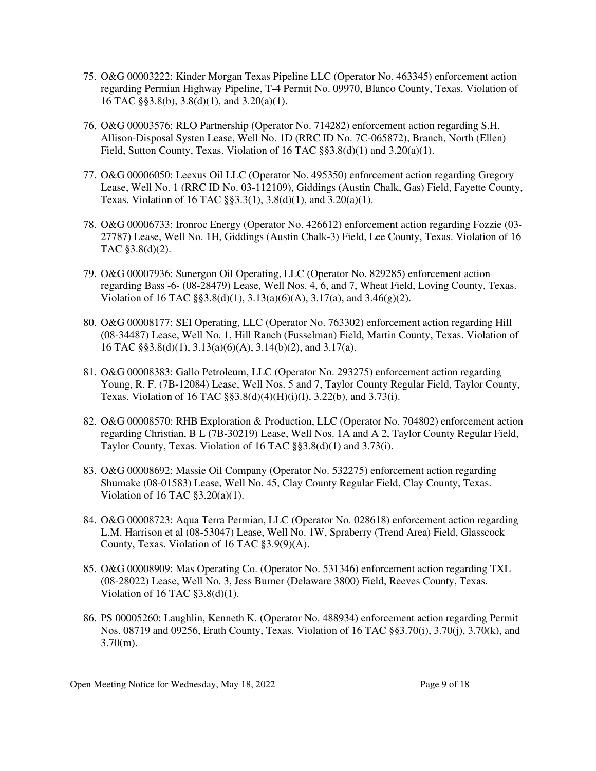- 75. O&G 00003222: Kinder Morgan Texas Pipeline LLC (Operator No. 463345) enforcement action regarding Permian Highway Pipeline, T-4 Permit No. 09970, Blanco County, Texas. Violation of 16 TAC §§3.8(b), 3.8(d)(1), and 3.20(a)(1).
- 76. O&G 00003576: RLO Partnership (Operator No. 714282) enforcement action regarding S.H. Allison-Disposal Systen Lease, Well No. 1D (RRC ID No. 7C-065872), Branch, North (Ellen) Field, Sutton County, Texas. Violation of 16 TAC §§3.8(d)(1) and 3.20(a)(1).
- 77. O&G 00006050: Leexus Oil LLC (Operator No. 495350) enforcement action regarding Gregory Lease, Well No. 1 (RRC ID No. 03-112109), Giddings (Austin Chalk, Gas) Field, Fayette County, Texas. Violation of 16 TAC §§3.3(1), 3.8(d)(1), and 3.20(a)(1).
- 78. O&G 00006733: Ironroc Energy (Operator No. 426612) enforcement action regarding Fozzie (03- 27787) Lease, Well No. 1H, Giddings (Austin Chalk-3) Field, Lee County, Texas. Violation of 16 TAC §3.8(d)(2).
- 79. O&G 00007936: Sunergon Oil Operating, LLC (Operator No. 829285) enforcement action regarding Bass -6- (08-28479) Lease, Well Nos. 4, 6, and 7, Wheat Field, Loving County, Texas. Violation of 16 TAC  $\S$ §3.8(d)(1), 3.13(a)(6)(A), 3.17(a), and 3.46(g)(2).
- 80. O&G 00008177: SEI Operating, LLC (Operator No. 763302) enforcement action regarding Hill (08-34487) Lease, Well No. 1, Hill Ranch (Fusselman) Field, Martin County, Texas. Violation of 16 TAC §§3.8(d)(1), 3.13(a)(6)(A), 3.14(b)(2), and 3.17(a).
- 81. O&G 00008383: Gallo Petroleum, LLC (Operator No. 293275) enforcement action regarding Young, R. F. (7B-12084) Lease, Well Nos. 5 and 7, Taylor County Regular Field, Taylor County, Texas. Violation of 16 TAC §§3.8(d)(4)(H)(i)(I), 3.22(b), and 3.73(i).
- 82. O&G 00008570: RHB Exploration & Production, LLC (Operator No. 704802) enforcement action regarding Christian, B L (7B-30219) Lease, Well Nos. 1A and A 2, Taylor County Regular Field, Taylor County, Texas. Violation of 16 TAC §§3.8(d)(1) and 3.73(i).
- 83. O&G 00008692: Massie Oil Company (Operator No. 532275) enforcement action regarding Shumake (08-01583) Lease, Well No. 45, Clay County Regular Field, Clay County, Texas. Violation of 16 TAC §3.20(a)(1).
- 84. O&G 00008723: Aqua Terra Permian, LLC (Operator No. 028618) enforcement action regarding L.M. Harrison et al (08-53047) Lease, Well No. 1W, Spraberry (Trend Area) Field, Glasscock County, Texas. Violation of 16 TAC §3.9(9)(A).
- 85. O&G 00008909: Mas Operating Co. (Operator No. 531346) enforcement action regarding TXL (08-28022) Lease, Well No. 3, Jess Burner (Delaware 3800) Field, Reeves County, Texas. Violation of 16 TAC  $§3.8(d)(1)$ .
- 86. PS 00005260: Laughlin, Kenneth K. (Operator No. 488934) enforcement action regarding Permit Nos. 08719 and 09256, Erath County, Texas. Violation of 16 TAC §§3.70(i), 3.70(j), 3.70(k), and  $3.70(m)$ .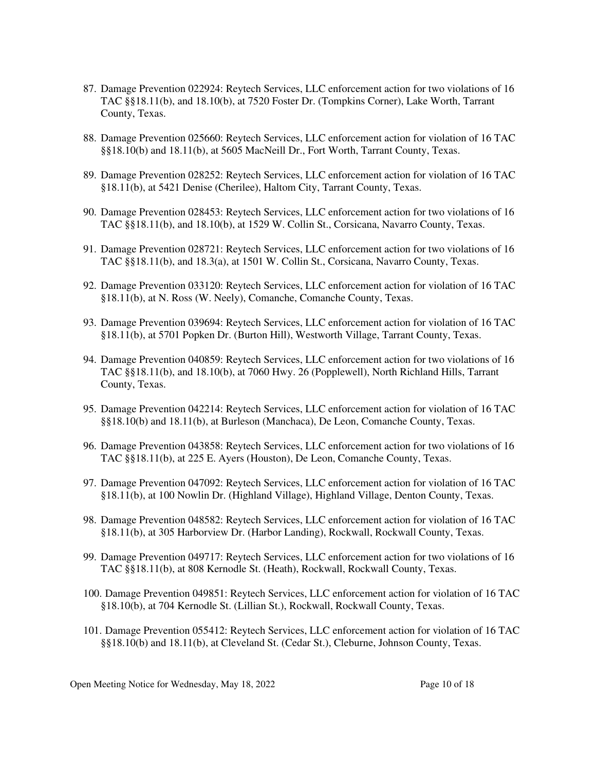- 87. Damage Prevention 022924: Reytech Services, LLC enforcement action for two violations of 16 TAC §§18.11(b), and 18.10(b), at 7520 Foster Dr. (Tompkins Corner), Lake Worth, Tarrant County, Texas.
- 88. Damage Prevention 025660: Reytech Services, LLC enforcement action for violation of 16 TAC §§18.10(b) and 18.11(b), at 5605 MacNeill Dr., Fort Worth, Tarrant County, Texas.
- 89. Damage Prevention 028252: Reytech Services, LLC enforcement action for violation of 16 TAC §18.11(b), at 5421 Denise (Cherilee), Haltom City, Tarrant County, Texas.
- 90. Damage Prevention 028453: Reytech Services, LLC enforcement action for two violations of 16 TAC §§18.11(b), and 18.10(b), at 1529 W. Collin St., Corsicana, Navarro County, Texas.
- 91. Damage Prevention 028721: Reytech Services, LLC enforcement action for two violations of 16 TAC §§18.11(b), and 18.3(a), at 1501 W. Collin St., Corsicana, Navarro County, Texas.
- 92. Damage Prevention 033120: Reytech Services, LLC enforcement action for violation of 16 TAC §18.11(b), at N. Ross (W. Neely), Comanche, Comanche County, Texas.
- 93. Damage Prevention 039694: Reytech Services, LLC enforcement action for violation of 16 TAC §18.11(b), at 5701 Popken Dr. (Burton Hill), Westworth Village, Tarrant County, Texas.
- 94. Damage Prevention 040859: Reytech Services, LLC enforcement action for two violations of 16 TAC §§18.11(b), and 18.10(b), at 7060 Hwy. 26 (Popplewell), North Richland Hills, Tarrant County, Texas.
- 95. Damage Prevention 042214: Reytech Services, LLC enforcement action for violation of 16 TAC §§18.10(b) and 18.11(b), at Burleson (Manchaca), De Leon, Comanche County, Texas.
- 96. Damage Prevention 043858: Reytech Services, LLC enforcement action for two violations of 16 TAC §§18.11(b), at 225 E. Ayers (Houston), De Leon, Comanche County, Texas.
- 97. Damage Prevention 047092: Reytech Services, LLC enforcement action for violation of 16 TAC §18.11(b), at 100 Nowlin Dr. (Highland Village), Highland Village, Denton County, Texas.
- 98. Damage Prevention 048582: Reytech Services, LLC enforcement action for violation of 16 TAC §18.11(b), at 305 Harborview Dr. (Harbor Landing), Rockwall, Rockwall County, Texas.
- 99. Damage Prevention 049717: Reytech Services, LLC enforcement action for two violations of 16 TAC §§18.11(b), at 808 Kernodle St. (Heath), Rockwall, Rockwall County, Texas.
- 100. Damage Prevention 049851: Reytech Services, LLC enforcement action for violation of 16 TAC §18.10(b), at 704 Kernodle St. (Lillian St.), Rockwall, Rockwall County, Texas.
- 101. Damage Prevention 055412: Reytech Services, LLC enforcement action for violation of 16 TAC §§18.10(b) and 18.11(b), at Cleveland St. (Cedar St.), Cleburne, Johnson County, Texas.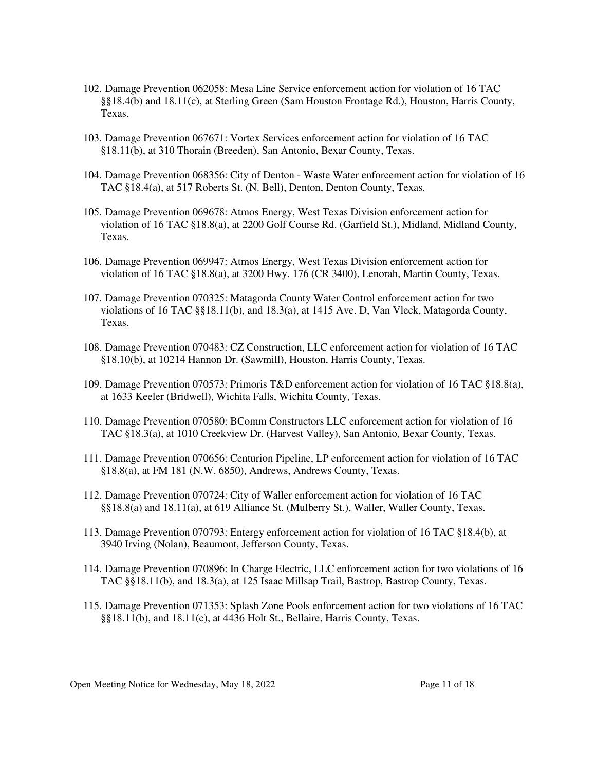- 102. Damage Prevention 062058: Mesa Line Service enforcement action for violation of 16 TAC §§18.4(b) and 18.11(c), at Sterling Green (Sam Houston Frontage Rd.), Houston, Harris County, Texas.
- 103. Damage Prevention 067671: Vortex Services enforcement action for violation of 16 TAC §18.11(b), at 310 Thorain (Breeden), San Antonio, Bexar County, Texas.
- 104. Damage Prevention 068356: City of Denton Waste Water enforcement action for violation of 16 TAC §18.4(a), at 517 Roberts St. (N. Bell), Denton, Denton County, Texas.
- 105. Damage Prevention 069678: Atmos Energy, West Texas Division enforcement action for violation of 16 TAC §18.8(a), at 2200 Golf Course Rd. (Garfield St.), Midland, Midland County, Texas.
- 106. Damage Prevention 069947: Atmos Energy, West Texas Division enforcement action for violation of 16 TAC §18.8(a), at 3200 Hwy. 176 (CR 3400), Lenorah, Martin County, Texas.
- 107. Damage Prevention 070325: Matagorda County Water Control enforcement action for two violations of 16 TAC §§18.11(b), and 18.3(a), at 1415 Ave. D, Van Vleck, Matagorda County, Texas.
- 108. Damage Prevention 070483: CZ Construction, LLC enforcement action for violation of 16 TAC §18.10(b), at 10214 Hannon Dr. (Sawmill), Houston, Harris County, Texas.
- 109. Damage Prevention 070573: Primoris T&D enforcement action for violation of 16 TAC §18.8(a), at 1633 Keeler (Bridwell), Wichita Falls, Wichita County, Texas.
- 110. Damage Prevention 070580: BComm Constructors LLC enforcement action for violation of 16 TAC §18.3(a), at 1010 Creekview Dr. (Harvest Valley), San Antonio, Bexar County, Texas.
- 111. Damage Prevention 070656: Centurion Pipeline, LP enforcement action for violation of 16 TAC §18.8(a), at FM 181 (N.W. 6850), Andrews, Andrews County, Texas.
- 112. Damage Prevention 070724: City of Waller enforcement action for violation of 16 TAC §§18.8(a) and 18.11(a), at 619 Alliance St. (Mulberry St.), Waller, Waller County, Texas.
- 113. Damage Prevention 070793: Entergy enforcement action for violation of 16 TAC §18.4(b), at 3940 Irving (Nolan), Beaumont, Jefferson County, Texas.
- 114. Damage Prevention 070896: In Charge Electric, LLC enforcement action for two violations of 16 TAC §§18.11(b), and 18.3(a), at 125 Isaac Millsap Trail, Bastrop, Bastrop County, Texas.
- 115. Damage Prevention 071353: Splash Zone Pools enforcement action for two violations of 16 TAC §§18.11(b), and 18.11(c), at 4436 Holt St., Bellaire, Harris County, Texas.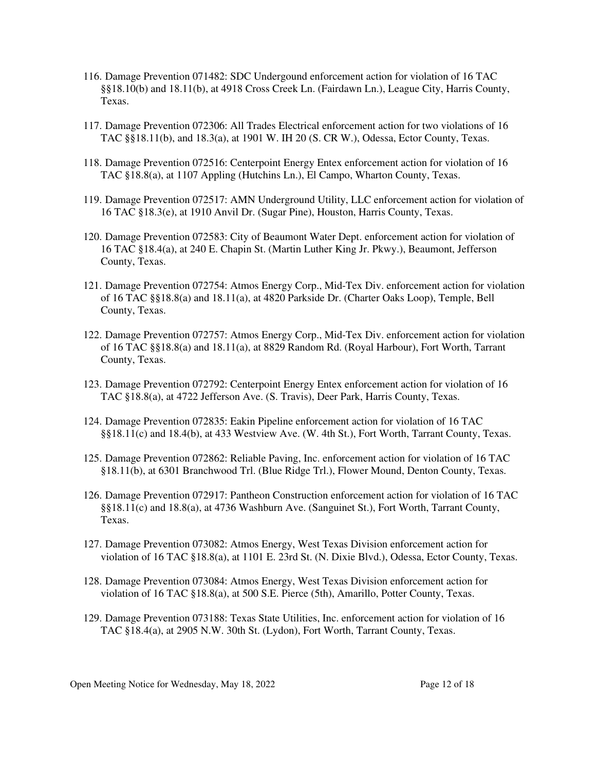- 116. Damage Prevention 071482: SDC Undergound enforcement action for violation of 16 TAC §§18.10(b) and 18.11(b), at 4918 Cross Creek Ln. (Fairdawn Ln.), League City, Harris County, Texas.
- 117. Damage Prevention 072306: All Trades Electrical enforcement action for two violations of 16 TAC §§18.11(b), and 18.3(a), at 1901 W. IH 20 (S. CR W.), Odessa, Ector County, Texas.
- 118. Damage Prevention 072516: Centerpoint Energy Entex enforcement action for violation of 16 TAC §18.8(a), at 1107 Appling (Hutchins Ln.), El Campo, Wharton County, Texas.
- 119. Damage Prevention 072517: AMN Underground Utility, LLC enforcement action for violation of 16 TAC §18.3(e), at 1910 Anvil Dr. (Sugar Pine), Houston, Harris County, Texas.
- 120. Damage Prevention 072583: City of Beaumont Water Dept. enforcement action for violation of 16 TAC §18.4(a), at 240 E. Chapin St. (Martin Luther King Jr. Pkwy.), Beaumont, Jefferson County, Texas.
- 121. Damage Prevention 072754: Atmos Energy Corp., Mid-Tex Div. enforcement action for violation of 16 TAC §§18.8(a) and 18.11(a), at 4820 Parkside Dr. (Charter Oaks Loop), Temple, Bell County, Texas.
- 122. Damage Prevention 072757: Atmos Energy Corp., Mid-Tex Div. enforcement action for violation of 16 TAC §§18.8(a) and 18.11(a), at 8829 Random Rd. (Royal Harbour), Fort Worth, Tarrant County, Texas.
- 123. Damage Prevention 072792: Centerpoint Energy Entex enforcement action for violation of 16 TAC §18.8(a), at 4722 Jefferson Ave. (S. Travis), Deer Park, Harris County, Texas.
- 124. Damage Prevention 072835: Eakin Pipeline enforcement action for violation of 16 TAC §§18.11(c) and 18.4(b), at 433 Westview Ave. (W. 4th St.), Fort Worth, Tarrant County, Texas.
- 125. Damage Prevention 072862: Reliable Paving, Inc. enforcement action for violation of 16 TAC §18.11(b), at 6301 Branchwood Trl. (Blue Ridge Trl.), Flower Mound, Denton County, Texas.
- 126. Damage Prevention 072917: Pantheon Construction enforcement action for violation of 16 TAC §§18.11(c) and 18.8(a), at 4736 Washburn Ave. (Sanguinet St.), Fort Worth, Tarrant County, Texas.
- 127. Damage Prevention 073082: Atmos Energy, West Texas Division enforcement action for violation of 16 TAC §18.8(a), at 1101 E. 23rd St. (N. Dixie Blvd.), Odessa, Ector County, Texas.
- 128. Damage Prevention 073084: Atmos Energy, West Texas Division enforcement action for violation of 16 TAC §18.8(a), at 500 S.E. Pierce (5th), Amarillo, Potter County, Texas.
- 129. Damage Prevention 073188: Texas State Utilities, Inc. enforcement action for violation of 16 TAC §18.4(a), at 2905 N.W. 30th St. (Lydon), Fort Worth, Tarrant County, Texas.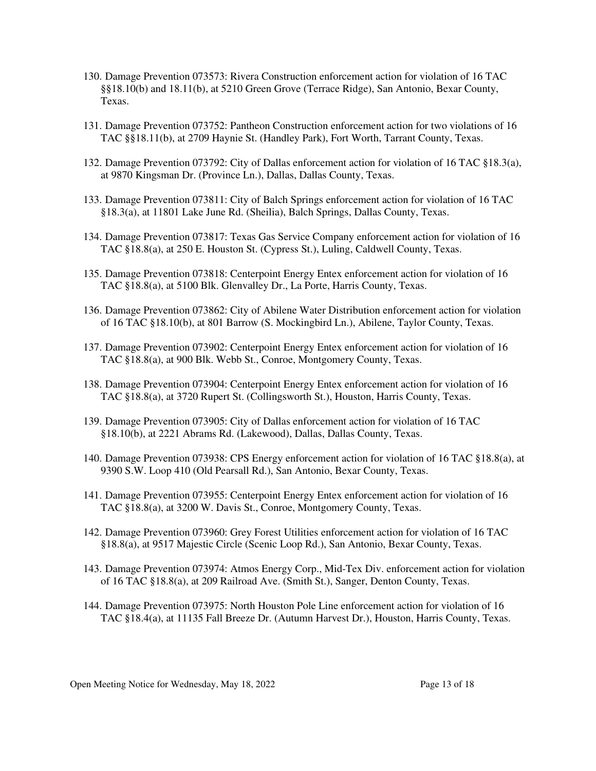- 130. Damage Prevention 073573: Rivera Construction enforcement action for violation of 16 TAC §§18.10(b) and 18.11(b), at 5210 Green Grove (Terrace Ridge), San Antonio, Bexar County, Texas.
- 131. Damage Prevention 073752: Pantheon Construction enforcement action for two violations of 16 TAC §§18.11(b), at 2709 Haynie St. (Handley Park), Fort Worth, Tarrant County, Texas.
- 132. Damage Prevention 073792: City of Dallas enforcement action for violation of 16 TAC §18.3(a), at 9870 Kingsman Dr. (Province Ln.), Dallas, Dallas County, Texas.
- 133. Damage Prevention 073811: City of Balch Springs enforcement action for violation of 16 TAC §18.3(a), at 11801 Lake June Rd. (Sheilia), Balch Springs, Dallas County, Texas.
- 134. Damage Prevention 073817: Texas Gas Service Company enforcement action for violation of 16 TAC §18.8(a), at 250 E. Houston St. (Cypress St.), Luling, Caldwell County, Texas.
- 135. Damage Prevention 073818: Centerpoint Energy Entex enforcement action for violation of 16 TAC §18.8(a), at 5100 Blk. Glenvalley Dr., La Porte, Harris County, Texas.
- 136. Damage Prevention 073862: City of Abilene Water Distribution enforcement action for violation of 16 TAC §18.10(b), at 801 Barrow (S. Mockingbird Ln.), Abilene, Taylor County, Texas.
- 137. Damage Prevention 073902: Centerpoint Energy Entex enforcement action for violation of 16 TAC §18.8(a), at 900 Blk. Webb St., Conroe, Montgomery County, Texas.
- 138. Damage Prevention 073904: Centerpoint Energy Entex enforcement action for violation of 16 TAC §18.8(a), at 3720 Rupert St. (Collingsworth St.), Houston, Harris County, Texas.
- 139. Damage Prevention 073905: City of Dallas enforcement action for violation of 16 TAC §18.10(b), at 2221 Abrams Rd. (Lakewood), Dallas, Dallas County, Texas.
- 140. Damage Prevention 073938: CPS Energy enforcement action for violation of 16 TAC §18.8(a), at 9390 S.W. Loop 410 (Old Pearsall Rd.), San Antonio, Bexar County, Texas.
- 141. Damage Prevention 073955: Centerpoint Energy Entex enforcement action for violation of 16 TAC §18.8(a), at 3200 W. Davis St., Conroe, Montgomery County, Texas.
- 142. Damage Prevention 073960: Grey Forest Utilities enforcement action for violation of 16 TAC §18.8(a), at 9517 Majestic Circle (Scenic Loop Rd.), San Antonio, Bexar County, Texas.
- 143. Damage Prevention 073974: Atmos Energy Corp., Mid-Tex Div. enforcement action for violation of 16 TAC §18.8(a), at 209 Railroad Ave. (Smith St.), Sanger, Denton County, Texas.
- 144. Damage Prevention 073975: North Houston Pole Line enforcement action for violation of 16 TAC §18.4(a), at 11135 Fall Breeze Dr. (Autumn Harvest Dr.), Houston, Harris County, Texas.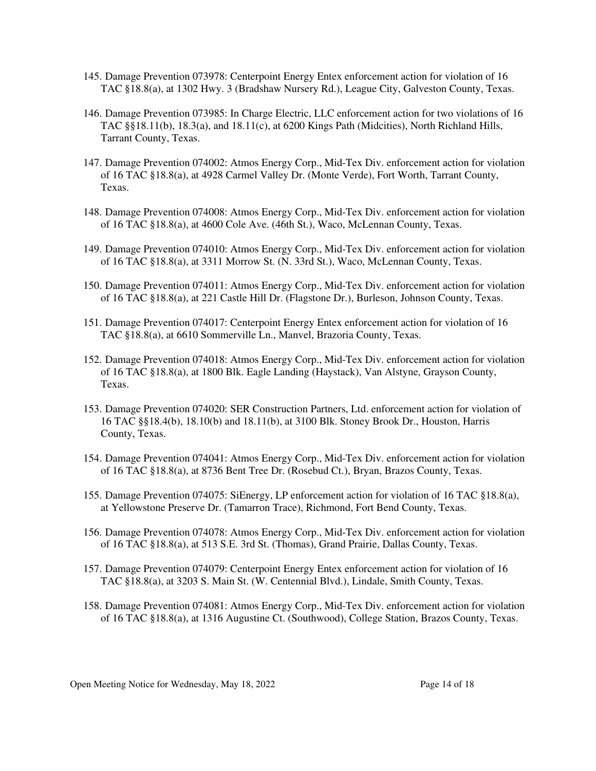- 145. Damage Prevention 073978: Centerpoint Energy Entex enforcement action for violation of 16 TAC §18.8(a), at 1302 Hwy. 3 (Bradshaw Nursery Rd.), League City, Galveston County, Texas.
- 146. Damage Prevention 073985: In Charge Electric, LLC enforcement action for two violations of 16 TAC §§18.11(b), 18.3(a), and 18.11(c), at 6200 Kings Path (Midcities), North Richland Hills, Tarrant County, Texas.
- 147. Damage Prevention 074002: Atmos Energy Corp., Mid-Tex Div. enforcement action for violation of 16 TAC §18.8(a), at 4928 Carmel Valley Dr. (Monte Verde), Fort Worth, Tarrant County, Texas.
- 148. Damage Prevention 074008: Atmos Energy Corp., Mid-Tex Div. enforcement action for violation of 16 TAC §18.8(a), at 4600 Cole Ave. (46th St.), Waco, McLennan County, Texas.
- 149. Damage Prevention 074010: Atmos Energy Corp., Mid-Tex Div. enforcement action for violation of 16 TAC §18.8(a), at 3311 Morrow St. (N. 33rd St.), Waco, McLennan County, Texas.
- 150. Damage Prevention 074011: Atmos Energy Corp., Mid-Tex Div. enforcement action for violation of 16 TAC §18.8(a), at 221 Castle Hill Dr. (Flagstone Dr.), Burleson, Johnson County, Texas.
- 151. Damage Prevention 074017: Centerpoint Energy Entex enforcement action for violation of 16 TAC §18.8(a), at 6610 Sommerville Ln., Manvel, Brazoria County, Texas.
- 152. Damage Prevention 074018: Atmos Energy Corp., Mid-Tex Div. enforcement action for violation of 16 TAC §18.8(a), at 1800 Blk. Eagle Landing (Haystack), Van Alstyne, Grayson County, Texas.
- 153. Damage Prevention 074020: SER Construction Partners, Ltd. enforcement action for violation of 16 TAC §§18.4(b), 18.10(b) and 18.11(b), at 3100 Blk. Stoney Brook Dr., Houston, Harris County, Texas.
- 154. Damage Prevention 074041: Atmos Energy Corp., Mid-Tex Div. enforcement action for violation of 16 TAC §18.8(a), at 8736 Bent Tree Dr. (Rosebud Ct.), Bryan, Brazos County, Texas.
- 155. Damage Prevention 074075: SiEnergy, LP enforcement action for violation of 16 TAC §18.8(a), at Yellowstone Preserve Dr. (Tamarron Trace), Richmond, Fort Bend County, Texas.
- 156. Damage Prevention 074078: Atmos Energy Corp., Mid-Tex Div. enforcement action for violation of 16 TAC §18.8(a), at 513 S.E. 3rd St. (Thomas), Grand Prairie, Dallas County, Texas.
- 157. Damage Prevention 074079: Centerpoint Energy Entex enforcement action for violation of 16 TAC §18.8(a), at 3203 S. Main St. (W. Centennial Blvd.), Lindale, Smith County, Texas.
- 158. Damage Prevention 074081: Atmos Energy Corp., Mid-Tex Div. enforcement action for violation of 16 TAC §18.8(a), at 1316 Augustine Ct. (Southwood), College Station, Brazos County, Texas.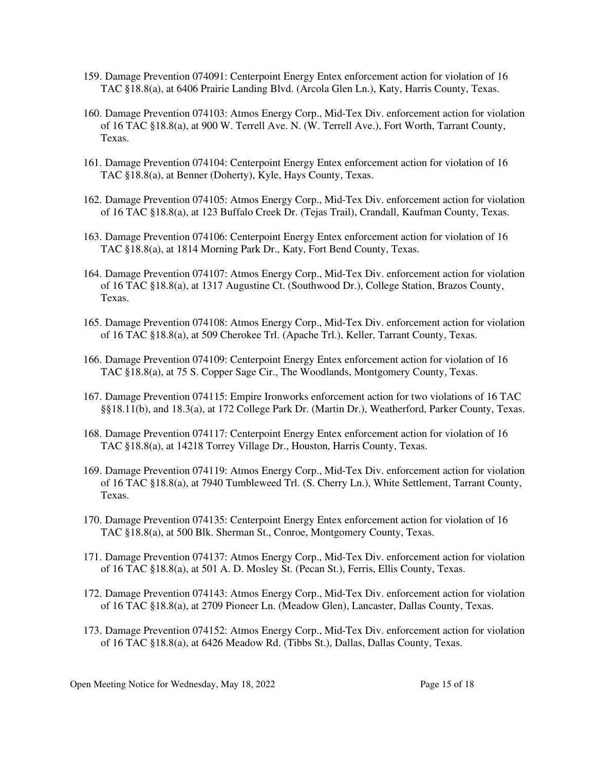- 159. Damage Prevention 074091: Centerpoint Energy Entex enforcement action for violation of 16 TAC §18.8(a), at 6406 Prairie Landing Blvd. (Arcola Glen Ln.), Katy, Harris County, Texas.
- 160. Damage Prevention 074103: Atmos Energy Corp., Mid-Tex Div. enforcement action for violation of 16 TAC §18.8(a), at 900 W. Terrell Ave. N. (W. Terrell Ave.), Fort Worth, Tarrant County, Texas.
- 161. Damage Prevention 074104: Centerpoint Energy Entex enforcement action for violation of 16 TAC §18.8(a), at Benner (Doherty), Kyle, Hays County, Texas.
- 162. Damage Prevention 074105: Atmos Energy Corp., Mid-Tex Div. enforcement action for violation of 16 TAC §18.8(a), at 123 Buffalo Creek Dr. (Tejas Trail), Crandall, Kaufman County, Texas.
- 163. Damage Prevention 074106: Centerpoint Energy Entex enforcement action for violation of 16 TAC §18.8(a), at 1814 Morning Park Dr., Katy, Fort Bend County, Texas.
- 164. Damage Prevention 074107: Atmos Energy Corp., Mid-Tex Div. enforcement action for violation of 16 TAC §18.8(a), at 1317 Augustine Ct. (Southwood Dr.), College Station, Brazos County, Texas.
- 165. Damage Prevention 074108: Atmos Energy Corp., Mid-Tex Div. enforcement action for violation of 16 TAC §18.8(a), at 509 Cherokee Trl. (Apache Trl.), Keller, Tarrant County, Texas.
- 166. Damage Prevention 074109: Centerpoint Energy Entex enforcement action for violation of 16 TAC §18.8(a), at 75 S. Copper Sage Cir., The Woodlands, Montgomery County, Texas.
- 167. Damage Prevention 074115: Empire Ironworks enforcement action for two violations of 16 TAC §§18.11(b), and 18.3(a), at 172 College Park Dr. (Martin Dr.), Weatherford, Parker County, Texas.
- 168. Damage Prevention 074117: Centerpoint Energy Entex enforcement action for violation of 16 TAC §18.8(a), at 14218 Torrey Village Dr., Houston, Harris County, Texas.
- 169. Damage Prevention 074119: Atmos Energy Corp., Mid-Tex Div. enforcement action for violation of 16 TAC §18.8(a), at 7940 Tumbleweed Trl. (S. Cherry Ln.), White Settlement, Tarrant County, Texas.
- 170. Damage Prevention 074135: Centerpoint Energy Entex enforcement action for violation of 16 TAC §18.8(a), at 500 Blk. Sherman St., Conroe, Montgomery County, Texas.
- 171. Damage Prevention 074137: Atmos Energy Corp., Mid-Tex Div. enforcement action for violation of 16 TAC §18.8(a), at 501 A. D. Mosley St. (Pecan St.), Ferris, Ellis County, Texas.
- 172. Damage Prevention 074143: Atmos Energy Corp., Mid-Tex Div. enforcement action for violation of 16 TAC §18.8(a), at 2709 Pioneer Ln. (Meadow Glen), Lancaster, Dallas County, Texas.
- 173. Damage Prevention 074152: Atmos Energy Corp., Mid-Tex Div. enforcement action for violation of 16 TAC §18.8(a), at 6426 Meadow Rd. (Tibbs St.), Dallas, Dallas County, Texas.

Open Meeting Notice for Wednesday, May 18, 2022 Page 15 of 18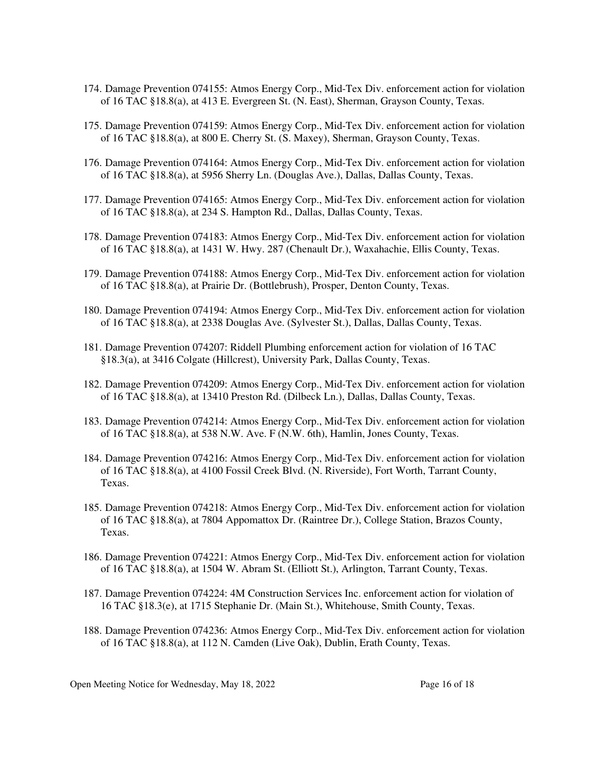- 174. Damage Prevention 074155: Atmos Energy Corp., Mid-Tex Div. enforcement action for violation of 16 TAC §18.8(a), at 413 E. Evergreen St. (N. East), Sherman, Grayson County, Texas.
- 175. Damage Prevention 074159: Atmos Energy Corp., Mid-Tex Div. enforcement action for violation of 16 TAC §18.8(a), at 800 E. Cherry St. (S. Maxey), Sherman, Grayson County, Texas.
- 176. Damage Prevention 074164: Atmos Energy Corp., Mid-Tex Div. enforcement action for violation of 16 TAC §18.8(a), at 5956 Sherry Ln. (Douglas Ave.), Dallas, Dallas County, Texas.
- 177. Damage Prevention 074165: Atmos Energy Corp., Mid-Tex Div. enforcement action for violation of 16 TAC §18.8(a), at 234 S. Hampton Rd., Dallas, Dallas County, Texas.
- 178. Damage Prevention 074183: Atmos Energy Corp., Mid-Tex Div. enforcement action for violation of 16 TAC §18.8(a), at 1431 W. Hwy. 287 (Chenault Dr.), Waxahachie, Ellis County, Texas.
- 179. Damage Prevention 074188: Atmos Energy Corp., Mid-Tex Div. enforcement action for violation of 16 TAC §18.8(a), at Prairie Dr. (Bottlebrush), Prosper, Denton County, Texas.
- 180. Damage Prevention 074194: Atmos Energy Corp., Mid-Tex Div. enforcement action for violation of 16 TAC §18.8(a), at 2338 Douglas Ave. (Sylvester St.), Dallas, Dallas County, Texas.
- 181. Damage Prevention 074207: Riddell Plumbing enforcement action for violation of 16 TAC §18.3(a), at 3416 Colgate (Hillcrest), University Park, Dallas County, Texas.
- 182. Damage Prevention 074209: Atmos Energy Corp., Mid-Tex Div. enforcement action for violation of 16 TAC §18.8(a), at 13410 Preston Rd. (Dilbeck Ln.), Dallas, Dallas County, Texas.
- 183. Damage Prevention 074214: Atmos Energy Corp., Mid-Tex Div. enforcement action for violation of 16 TAC §18.8(a), at 538 N.W. Ave. F (N.W. 6th), Hamlin, Jones County, Texas.
- 184. Damage Prevention 074216: Atmos Energy Corp., Mid-Tex Div. enforcement action for violation of 16 TAC §18.8(a), at 4100 Fossil Creek Blvd. (N. Riverside), Fort Worth, Tarrant County, Texas.
- 185. Damage Prevention 074218: Atmos Energy Corp., Mid-Tex Div. enforcement action for violation of 16 TAC §18.8(a), at 7804 Appomattox Dr. (Raintree Dr.), College Station, Brazos County, Texas.
- 186. Damage Prevention 074221: Atmos Energy Corp., Mid-Tex Div. enforcement action for violation of 16 TAC §18.8(a), at 1504 W. Abram St. (Elliott St.), Arlington, Tarrant County, Texas.
- 187. Damage Prevention 074224: 4M Construction Services Inc. enforcement action for violation of 16 TAC §18.3(e), at 1715 Stephanie Dr. (Main St.), Whitehouse, Smith County, Texas.
- 188. Damage Prevention 074236: Atmos Energy Corp., Mid-Tex Div. enforcement action for violation of 16 TAC §18.8(a), at 112 N. Camden (Live Oak), Dublin, Erath County, Texas.

Open Meeting Notice for Wednesday, May 18, 2022 Page 16 of 18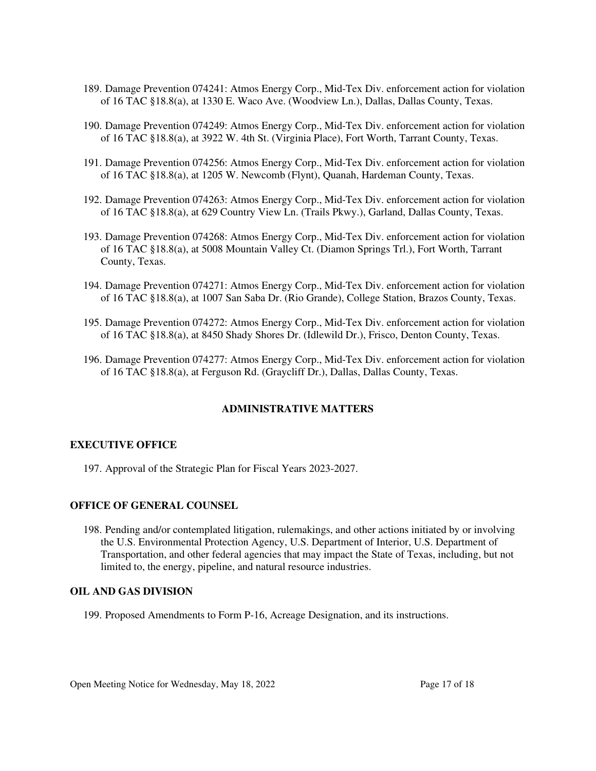- 189. Damage Prevention 074241: Atmos Energy Corp., Mid-Tex Div. enforcement action for violation of 16 TAC §18.8(a), at 1330 E. Waco Ave. (Woodview Ln.), Dallas, Dallas County, Texas.
- 190. Damage Prevention 074249: Atmos Energy Corp., Mid-Tex Div. enforcement action for violation of 16 TAC §18.8(a), at 3922 W. 4th St. (Virginia Place), Fort Worth, Tarrant County, Texas.
- 191. Damage Prevention 074256: Atmos Energy Corp., Mid-Tex Div. enforcement action for violation of 16 TAC §18.8(a), at 1205 W. Newcomb (Flynt), Quanah, Hardeman County, Texas.
- 192. Damage Prevention 074263: Atmos Energy Corp., Mid-Tex Div. enforcement action for violation of 16 TAC §18.8(a), at 629 Country View Ln. (Trails Pkwy.), Garland, Dallas County, Texas.
- 193. Damage Prevention 074268: Atmos Energy Corp., Mid-Tex Div. enforcement action for violation of 16 TAC §18.8(a), at 5008 Mountain Valley Ct. (Diamon Springs Trl.), Fort Worth, Tarrant County, Texas.
- 194. Damage Prevention 074271: Atmos Energy Corp., Mid-Tex Div. enforcement action for violation of 16 TAC §18.8(a), at 1007 San Saba Dr. (Rio Grande), College Station, Brazos County, Texas.
- 195. Damage Prevention 074272: Atmos Energy Corp., Mid-Tex Div. enforcement action for violation of 16 TAC §18.8(a), at 8450 Shady Shores Dr. (Idlewild Dr.), Frisco, Denton County, Texas.
- 196. Damage Prevention 074277: Atmos Energy Corp., Mid-Tex Div. enforcement action for violation of 16 TAC §18.8(a), at Ferguson Rd. (Graycliff Dr.), Dallas, Dallas County, Texas.

#### **ADMINISTRATIVE MATTERS**

#### **EXECUTIVE OFFICE**

197. Approval of the Strategic Plan for Fiscal Years 2023-2027.

#### **OFFICE OF GENERAL COUNSEL**

198. Pending and/or contemplated litigation, rulemakings, and other actions initiated by or involving the U.S. Environmental Protection Agency, U.S. Department of Interior, U.S. Department of Transportation, and other federal agencies that may impact the State of Texas, including, but not limited to, the energy, pipeline, and natural resource industries.

#### **OIL AND GAS DIVISION**

199. Proposed Amendments to Form P-16, Acreage Designation, and its instructions.